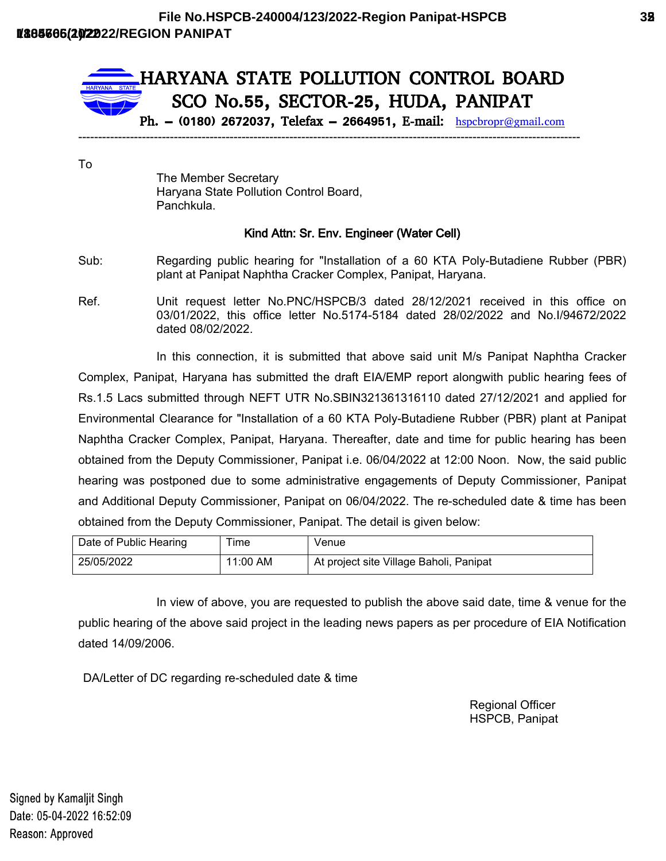

To

The Member Secretary Haryana State Pollution Control Board, Panchkula.

## **Kind Attn: Sr. Env. Engineer (Water Cell)**

- Sub: Regarding public hearing for "Installation of a 60 KTA Poly-Butadiene Rubber (PBR) plant at Panipat Naphtha Cracker Complex, Panipat, Haryana.
- Ref. Unit request letter No.PNC/HSPCB/3 dated 28/12/2021 received in this office on 03/01/2022, this office letter No.5174-5184 dated 28/02/2022 and No.I/94672/2022 dated 08/02/2022.

In this connection, it is submitted that above said unit M/s Panipat Naphtha Cracker Complex, Panipat, Haryana has submitted the draft EIA/EMP report alongwith public hearing fees of Rs.1.5 Lacs submitted through NEFT UTR No.SBIN321361316110 dated 27/12/2021 and applied for Environmental Clearance for "Installation of a 60 KTA Poly-Butadiene Rubber (PBR) plant at Panipat Naphtha Cracker Complex, Panipat, Haryana. Thereafter, date and time for public hearing has been obtained from the Deputy Commissioner, Panipat i.e. 06/04/2022 at 12:00 Noon. Now, the said public hearing was postponed due to some administrative engagements of Deputy Commissioner, Panipat and Additional Deputy Commissioner, Panipat on 06/04/2022. The re-scheduled date & time has been obtained from the Deputy Commissioner, Panipat. The detail is given below:

| Date of Public Hearing | ime      | Venue                                   |
|------------------------|----------|-----------------------------------------|
| 25/05/2022             | 11:00 AM | At project site Village Baholi, Panipat |

In view of above, you are requested to publish the above said date, time & venue for the public hearing of the above said project in the leading news papers as per procedure of EIA Notification dated 14/09/2006.

DA/Letter of DC regarding re-scheduled date & time

Regional Officer HSPCB, Panipat